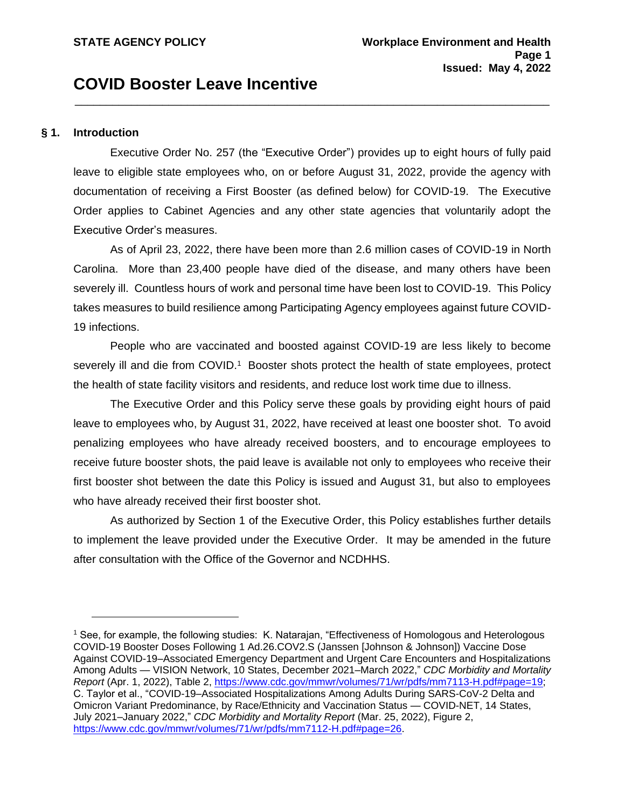# **COVID Booster Leave Incentive**

#### **§ 1. Introduction**

Executive Order No. 257 (the "Executive Order") provides up to eight hours of fully paid leave to eligible state employees who, on or before August 31, 2022, provide the agency with documentation of receiving a First Booster (as defined below) for COVID-19. The Executive Order applies to Cabinet Agencies and any other state agencies that voluntarily adopt the Executive Order's measures.

\_\_\_\_\_\_\_\_\_\_\_\_\_\_\_\_\_\_\_\_\_\_\_\_\_\_\_\_\_\_\_\_\_\_\_\_\_\_\_\_\_\_\_\_\_\_\_\_\_\_\_\_\_\_\_\_\_\_\_\_\_\_\_\_\_\_\_\_\_\_\_\_\_\_\_\_

As of April 23, 2022, there have been more than 2.6 million cases of COVID-19 in North Carolina. More than 23,400 people have died of the disease, and many others have been severely ill. Countless hours of work and personal time have been lost to COVID-19. This Policy takes measures to build resilience among Participating Agency employees against future COVID-19 infections.

People who are vaccinated and boosted against COVID-19 are less likely to become severely ill and die from COVID.<sup>1</sup> Booster shots protect the health of state employees, protect the health of state facility visitors and residents, and reduce lost work time due to illness.

The Executive Order and this Policy serve these goals by providing eight hours of paid leave to employees who, by August 31, 2022, have received at least one booster shot. To avoid penalizing employees who have already received boosters, and to encourage employees to receive future booster shots, the paid leave is available not only to employees who receive their first booster shot between the date this Policy is issued and August 31, but also to employees who have already received their first booster shot.

As authorized by Section 1 of the Executive Order, this Policy establishes further details to implement the leave provided under the Executive Order. It may be amended in the future after consultation with the Office of the Governor and NCDHHS.

<sup>1</sup> See, for example, the following studies: K. Natarajan, "Effectiveness of Homologous and Heterologous COVID-19 Booster Doses Following 1 Ad.26.COV2.S (Janssen [Johnson & Johnson]) Vaccine Dose Against COVID-19–Associated Emergency Department and Urgent Care Encounters and Hospitalizations Among Adults — VISION Network, 10 States, December 2021–March 2022," *CDC Morbidity and Mortality Report* (Apr. 1, 2022), Table 2, [https://www.cdc.gov/mmwr/volumes/71/wr/pdfs/mm7113-H.pdf#page=19;](https://www.cdc.gov/mmwr/volumes/71/wr/pdfs/mm7113-H.pdf#page=19) C. Taylor et al., "COVID-19–Associated Hospitalizations Among Adults During SARS-CoV-2 Delta and Omicron Variant Predominance, by Race/Ethnicity and Vaccination Status — COVID-NET, 14 States, July 2021–January 2022," *CDC Morbidity and Mortality Report* (Mar. 25, 2022), Figure 2, [https://www.cdc.gov/mmwr/volumes/71/wr/pdfs/mm7112-H.pdf#page=26.](https://www.cdc.gov/mmwr/volumes/71/wr/pdfs/mm7112-H.pdf#page=26)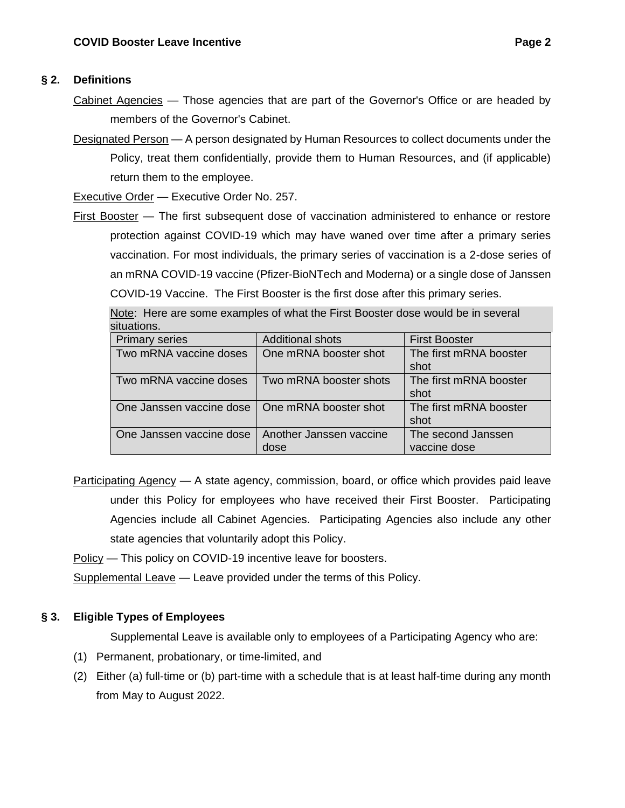## **§ 2. Definitions**

- Cabinet Agencies Those agencies that are part of the Governor's Office or are headed by members of the Governor's Cabinet.
- Designated Person A person designated by Human Resources to collect documents under the Policy, treat them confidentially, provide them to Human Resources, and (if applicable) return them to the employee.

Executive Order - Executive Order No. 257.

First Booster — The first subsequent dose of vaccination administered to enhance or restore protection against COVID-19 which may have waned over time after a primary series vaccination. For most individuals, the primary series of vaccination is a 2-dose series of an mRNA COVID-19 vaccine (Pfizer-BioNTech and Moderna) or a single dose of Janssen COVID-19 Vaccine. The First Booster is the first dose after this primary series.

| situations.              |                         |                        |
|--------------------------|-------------------------|------------------------|
| <b>Primary series</b>    | <b>Additional shots</b> | <b>First Booster</b>   |
| Two mRNA vaccine doses   | One mRNA booster shot   | The first mRNA booster |
|                          |                         | shot                   |
| Two mRNA vaccine doses   | Two mRNA booster shots  | The first mRNA booster |
|                          |                         | shot                   |
| One Janssen vaccine dose | One mRNA booster shot   | The first mRNA booster |
|                          |                         | shot                   |
| One Janssen vaccine dose | Another Janssen vaccine | The second Janssen     |
|                          | dose                    | vaccine dose           |

Note: Here are some examples of what the First Booster dose would be in several

Participating Agency - A state agency, commission, board, or office which provides paid leave under this Policy for employees who have received their First Booster. Participating Agencies include all Cabinet Agencies. Participating Agencies also include any other state agencies that voluntarily adopt this Policy.

Policy — This policy on COVID-19 incentive leave for boosters.

Supplemental Leave - Leave provided under the terms of this Policy.

# **§ 3. Eligible Types of Employees**

Supplemental Leave is available only to employees of a Participating Agency who are:

- (1) Permanent, probationary, or time-limited, and
- (2) Either (a) full-time or (b) part-time with a schedule that is at least half-time during any month from May to August 2022.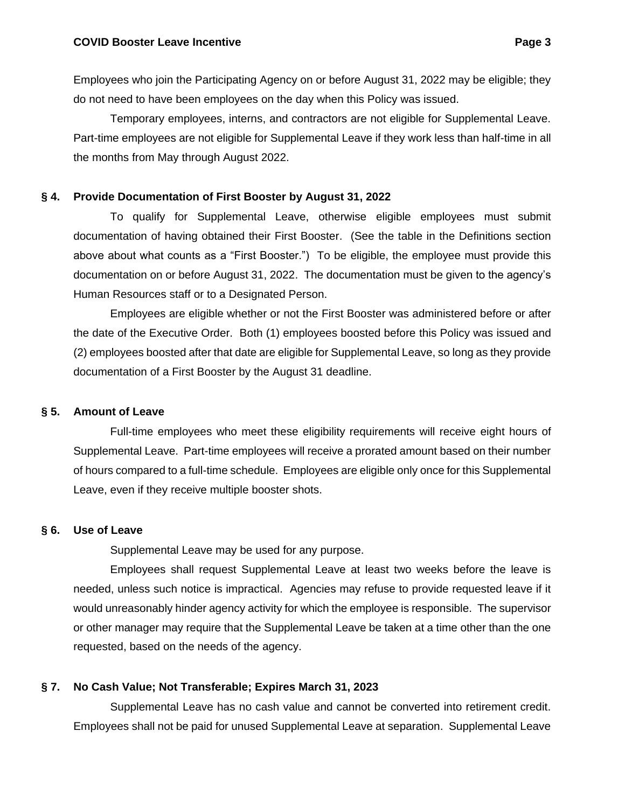Employees who join the Participating Agency on or before August 31, 2022 may be eligible; they do not need to have been employees on the day when this Policy was issued.

Temporary employees, interns, and contractors are not eligible for Supplemental Leave. Part-time employees are not eligible for Supplemental Leave if they work less than half-time in all the months from May through August 2022.

#### **§ 4. Provide Documentation of First Booster by August 31, 2022**

To qualify for Supplemental Leave, otherwise eligible employees must submit documentation of having obtained their First Booster. (See the table in the Definitions section above about what counts as a "First Booster.") To be eligible, the employee must provide this documentation on or before August 31, 2022. The documentation must be given to the agency's Human Resources staff or to a Designated Person.

Employees are eligible whether or not the First Booster was administered before or after the date of the Executive Order. Both (1) employees boosted before this Policy was issued and (2) employees boosted after that date are eligible for Supplemental Leave, so long as they provide documentation of a First Booster by the August 31 deadline.

#### **§ 5. Amount of Leave**

Full-time employees who meet these eligibility requirements will receive eight hours of Supplemental Leave. Part-time employees will receive a prorated amount based on their number of hours compared to a full-time schedule. Employees are eligible only once for this Supplemental Leave, even if they receive multiple booster shots.

#### **§ 6. Use of Leave**

Supplemental Leave may be used for any purpose.

Employees shall request Supplemental Leave at least two weeks before the leave is needed, unless such notice is impractical. Agencies may refuse to provide requested leave if it would unreasonably hinder agency activity for which the employee is responsible. The supervisor or other manager may require that the Supplemental Leave be taken at a time other than the one requested, based on the needs of the agency.

#### **§ 7. No Cash Value; Not Transferable; Expires March 31, 2023**

Supplemental Leave has no cash value and cannot be converted into retirement credit. Employees shall not be paid for unused Supplemental Leave at separation. Supplemental Leave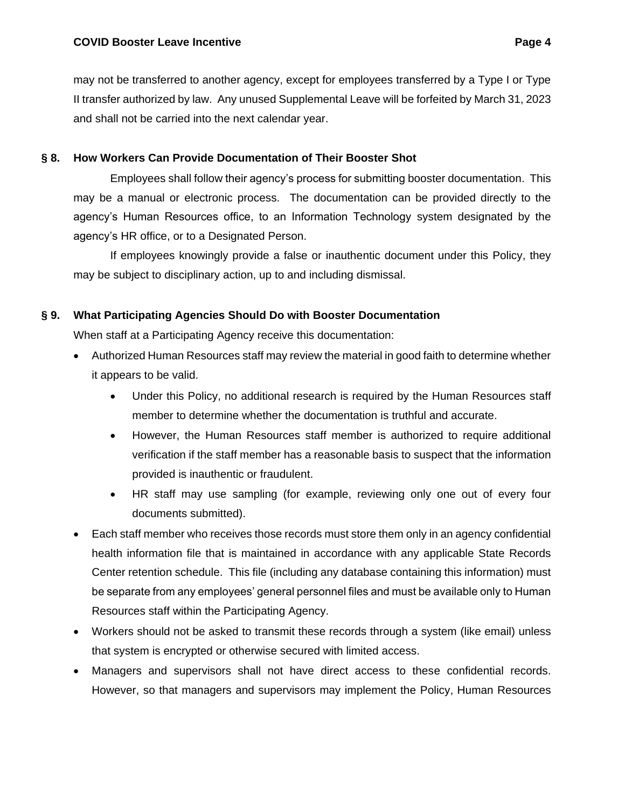may not be transferred to another agency, except for employees transferred by a Type I or Type II transfer authorized by law. Any unused Supplemental Leave will be forfeited by March 31, 2023 and shall not be carried into the next calendar year.

## **§ 8. How Workers Can Provide Documentation of Their Booster Shot**

Employees shall follow their agency's process for submitting booster documentation. This may be a manual or electronic process. The documentation can be provided directly to the agency's Human Resources office, to an Information Technology system designated by the agency's HR office, or to a Designated Person.

If employees knowingly provide a false or inauthentic document under this Policy, they may be subject to disciplinary action, up to and including dismissal.

## **§ 9. What Participating Agencies Should Do with Booster Documentation**

When staff at a Participating Agency receive this documentation:

- Authorized Human Resources staff may review the material in good faith to determine whether it appears to be valid.
	- Under this Policy, no additional research is required by the Human Resources staff member to determine whether the documentation is truthful and accurate.
	- However, the Human Resources staff member is authorized to require additional verification if the staff member has a reasonable basis to suspect that the information provided is inauthentic or fraudulent.
	- HR staff may use sampling (for example, reviewing only one out of every four documents submitted).
- Each staff member who receives those records must store them only in an agency confidential health information file that is maintained in accordance with any applicable State Records Center retention schedule. This file (including any database containing this information) must be separate from any employees' general personnel files and must be available only to Human Resources staff within the Participating Agency.
- Workers should not be asked to transmit these records through a system (like email) unless that system is encrypted or otherwise secured with limited access.
- Managers and supervisors shall not have direct access to these confidential records. However, so that managers and supervisors may implement the Policy, Human Resources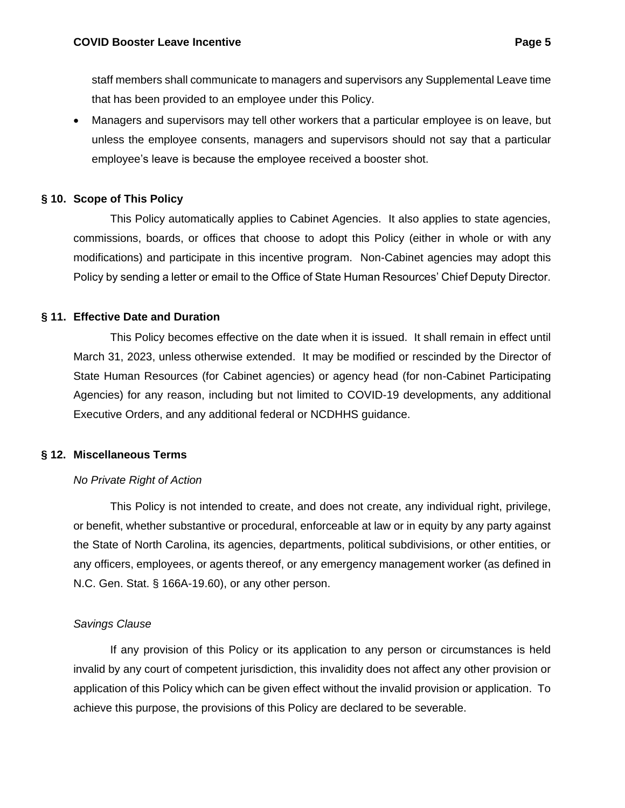staff members shall communicate to managers and supervisors any Supplemental Leave time that has been provided to an employee under this Policy.

• Managers and supervisors may tell other workers that a particular employee is on leave, but unless the employee consents, managers and supervisors should not say that a particular employee's leave is because the employee received a booster shot.

#### **§ 10. Scope of This Policy**

This Policy automatically applies to Cabinet Agencies. It also applies to state agencies, commissions, boards, or offices that choose to adopt this Policy (either in whole or with any modifications) and participate in this incentive program. Non-Cabinet agencies may adopt this Policy by sending a letter or email to the Office of State Human Resources' Chief Deputy Director.

#### **§ 11. Effective Date and Duration**

This Policy becomes effective on the date when it is issued. It shall remain in effect until March 31, 2023, unless otherwise extended. It may be modified or rescinded by the Director of State Human Resources (for Cabinet agencies) or agency head (for non-Cabinet Participating Agencies) for any reason, including but not limited to COVID-19 developments, any additional Executive Orders, and any additional federal or NCDHHS guidance.

#### **§ 12. Miscellaneous Terms**

#### *No Private Right of Action*

This Policy is not intended to create, and does not create, any individual right, privilege, or benefit, whether substantive or procedural, enforceable at law or in equity by any party against the State of North Carolina, its agencies, departments, political subdivisions, or other entities, or any officers, employees, or agents thereof, or any emergency management worker (as defined in N.C. Gen. Stat. § 166A-19.60), or any other person.

#### *Savings Clause*

If any provision of this Policy or its application to any person or circumstances is held invalid by any court of competent jurisdiction, this invalidity does not affect any other provision or application of this Policy which can be given effect without the invalid provision or application. To achieve this purpose, the provisions of this Policy are declared to be severable.